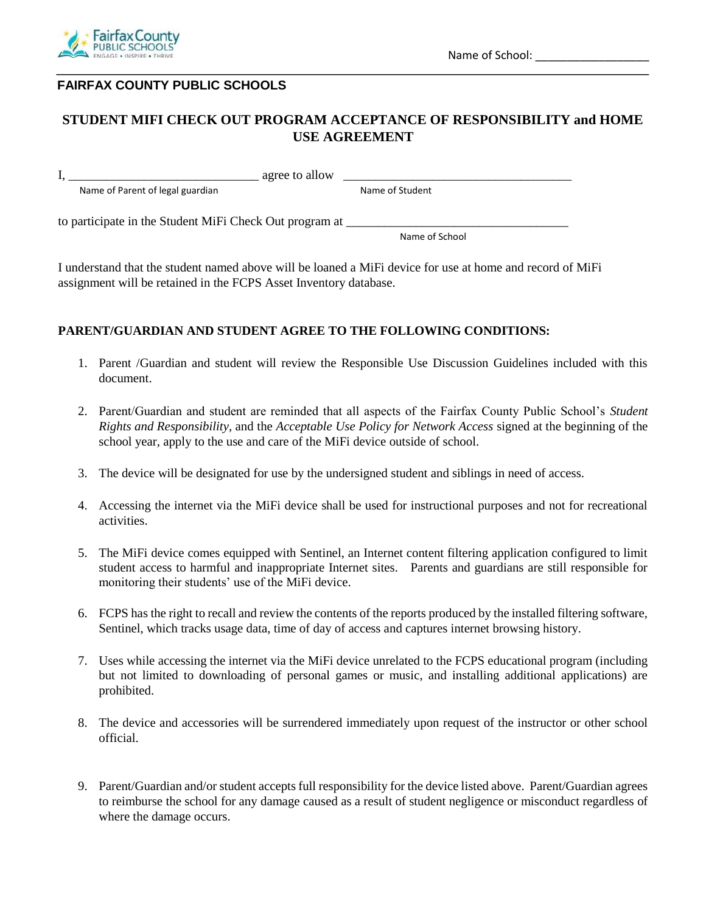

## **FAIRFAX COUNTY PUBLIC SCHOOLS**

## **STUDENT MIFI CHECK OUT PROGRAM ACCEPTANCE OF RESPONSIBILITY and HOME USE AGREEMENT**

 $I, \_\_\_\_\_\_\_\_\_\_\_\_\_$ 

Name of Parent of legal guardian Name of Student

to participate in the Student MiFi Check Out program at \_\_\_\_\_\_\_\_\_\_\_\_\_\_\_\_\_\_\_\_\_\_\_\_\_

Name of School

I understand that the student named above will be loaned a MiFi device for use at home and record of MiFi assignment will be retained in the FCPS Asset Inventory database.

#### **PARENT/GUARDIAN AND STUDENT AGREE TO THE FOLLOWING CONDITIONS:**

- 1. Parent /Guardian and student will review the Responsible Use Discussion Guidelines included with this document.
- 2. Parent/Guardian and student are reminded that all aspects of the Fairfax County Public School's *Student Rights and Responsibility*, and the *Acceptable Use Policy for Network Access* signed at the beginning of the school year*,* apply to the use and care of the MiFi device outside of school.
- 3. The device will be designated for use by the undersigned student and siblings in need of access.
- 4. Accessing the internet via the MiFi device shall be used for instructional purposes and not for recreational activities.
- 5. The MiFi device comes equipped with Sentinel, an Internet content filtering application configured to limit student access to harmful and inappropriate Internet sites. Parents and guardians are still responsible for monitoring their students' use of the MiFi device.
- 6. FCPS has the right to recall and review the contents of the reports produced by the installed filtering software, Sentinel, which tracks usage data, time of day of access and captures internet browsing history.
- 7. Uses while accessing the internet via the MiFi device unrelated to the FCPS educational program (including but not limited to downloading of personal games or music, and installing additional applications) are prohibited.
- 8. The device and accessories will be surrendered immediately upon request of the instructor or other school official.
- 9. Parent/Guardian and/or student accepts full responsibility for the device listed above. Parent/Guardian agrees to reimburse the school for any damage caused as a result of student negligence or misconduct regardless of where the damage occurs.